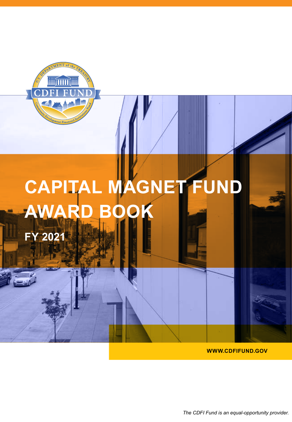

# **CAPITAL MAGNET FUND AWARD BO**

**FY 2021**

**WWW.CDFIFUND.GOV**

*The CDFI Fund is an equal-opportunity provider.*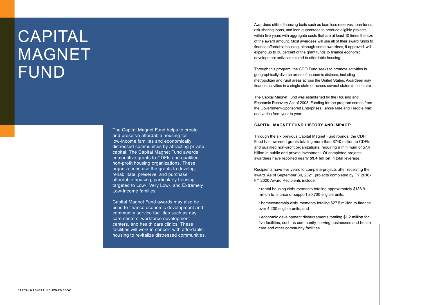The Capital Magnet Fund helps to create and preserve affordable housing for low-income families and economically distressed communities by attracting private capital. The Capital Magnet Fund awards competitive grants to CDFIs and qualified non-profit housing organizations. These organizations use the grants to develop, rehabilitate, preserve, and purchase affordable housing, particularly housing targeted to Low-, Very Low-, and Extremely Low-Income families.

Capital Magnet Fund awards may also be used to finance economic development and community service facilities such as day care centers, workforce development centers, and health care clinics. These facilities will work in concert with affordable housing to revitalize distressed communities.

# CAPITAL MAGNET FUND

Awardees utilize financing tools such as loan loss reserves, loan funds, risk-sharing loans, and loan guarantees to produce eligible projects within five years with aggregate costs that are at least 10 times the size of the award amount. Most awardees will use all of their award funds to finance affordable housing, although some awardees, if approved, will expend up to 30 percent of the grant funds to finance economic development activities related to affordable housing.

Through this program, the CDFI Fund seeks to promote activities in geographically diverse areas of economic distress, including metropolitan and rural areas across the United States. Awardees may finance activities in a single state or across several states (multi-state).

The Capital Magnet Fund was established by the Housing and Economic Recovery Act of 2008. Funding for the program comes from the Government-Sponsored Enterprises Fannie Mae and Freddie Mac and varies from year to year.

### **CAPITAL MAGNET FUND HISTORY AND IMPACT:**

Through the six previous Capital Magnet Fund rounds, the CDFI Fund has awarded grants totaling more than \$740 million to CDFIs and qualified non-profit organizations, requiring a minimum of \$7.4 billion in public and private investment. Of completed projects, awardees have reported nearly **\$9.4 billion** in total leverage.

Recipients have five years to complete projects after receiving the award. As of September 30, 2021, projects completed by FY 2016- FY 2020 Award Recipients include:

• rental housing disbursements totaling approximately \$138.9 million to finance or support 20,700 eligible units;

• homeownership disbursements totaling \$27.5 million to finance over 4,200 eligible units; and

• economic development disbursements totaling \$1.2 million for five facilities, such as community-serving businesses and health care and other community facilities.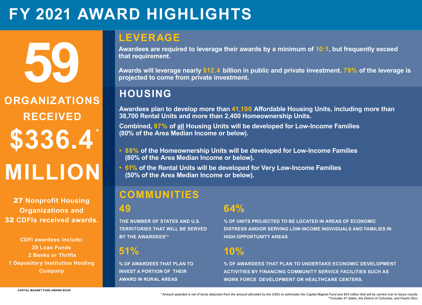**59**

# **HOUSING**

**Awardees plan to develop more than 41,100 Affordable Housing Units, including more than 38,700 Rental Units and more than 2,400 Homeownership Units.** 

**Combined, 97% of all Housing Units will be developed for Low-Income Families (80% of the Area Median Income or below).**

# **ORGANIZATIONS RECEIVED MILLION \$336.4 \***

- **• 88% of the Homeownership Units will be developed for Low-Income Families (80% of the Area Median Income or below).**
- **• 61% of the Rental Units will be developed for Very Low-Income Families (50% of the Area Median Income or below).**

*\* Amount awarded is net of funds deducted from the amount allocated by the GSEs to administer the Capital Magnet Fund and \$43 million that will be carried over to future rounds. \*\*Includes 47 states, the District of Columbia, and Puerto Rico.* 

- 
- 

27 **Nonprofit Housing Organizations and**  32 **CDFIs received awards.** 

**CDFI awardees include: 29 Loan Funds 2 Banks or Thrifts 1 Depository Institution Holding Company**

**49** 

**THE NUMBER OF STATES AND U.S. TERRITORIES THAT WILL BE SERVED BY THE AWARDEES\*\*** 

# **10%**

**% OF AWARDEES THAT PLAN TO UNDERTAKE ECONOMIC DEVELOPMENT ACTIVITIES BY FINANCING COMMUNITY SERVICE FACILITIES SUCH AS WORK FORCE DEVELOPMENT OR HEALTHCARE CENTERS.**

**51%**

**% OF AWARDEES THAT PLAN TO INVEST A PORTION OF THEIR AWARD IN RURAL AREAS**

## **COMMUNITIES**

**64%**

**% OF UNITS PROJECTED TO BE LOCATED IN AREAS OF ECONOMIC DISTRESS AND/OR SERVING LOW-INCOME INDIVIDUALS AND FAMILIES IN HIGH OPPORTUNITY AREAS**

# **FY 2021 AWARD HIGHLIGHTS**

## **LEVERAGE**

**Awardees are required to leverage their awards by a minimum of 10:1, but frequently exceed that requirement.** 

**Awards will leverage nearly \$12.4 billion in public and private investment. 79% of the leverage is projected to come from private investment.**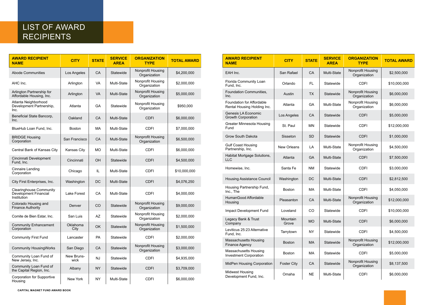**CAPITAL MAGNET FUND AWARD BOOK**

## LIST OF AWARD RECIPIENTS

| <b>AWARD RECIPIENT</b><br><b>NAME</b>                                         | <b>CITY</b>        | <b>STATE</b> | <b>SERVICE</b><br><b>AREA</b> | <b>ORGANIZATION</b><br><b>TYPE</b>       | <b>TOTAL AWARD</b> |
|-------------------------------------------------------------------------------|--------------------|--------------|-------------------------------|------------------------------------------|--------------------|
| <b>Abode Communities</b>                                                      | Los Angeles        | <b>CA</b>    | <b>Statewide</b>              | Nonprofit Housing<br>Organization        | \$4,200,000        |
| AHC Inc.                                                                      | Arlington          | <b>VA</b>    | Multi-State                   | <b>Nonprofit Housing</b><br>Organization | \$2,000,000        |
| Arlington Partnership for<br>Affordable Housing, Inc.                         | Arlington          | <b>VA</b>    | Multi-State                   | <b>Nonprofit Housing</b><br>Organization | \$5,000,000        |
| Atlanta Neighborhood<br>Development Partnership,<br>Inc.                      | Atlanta            | <b>GA</b>    | Statewide                     | <b>Nonprofit Housing</b><br>Organization | \$950,000          |
| Beneficial State Bancorp,<br>Inc.                                             | Oakland            | CA           | <b>Multi-State</b>            | <b>CDFI</b>                              | \$6,000,000        |
| BlueHub Loan Fund, Inc.                                                       | <b>Boston</b>      | <b>MA</b>    | <b>Multi-State</b>            | <b>CDFI</b>                              | \$7,000,000        |
| <b>BRIDGE Housing</b><br>Corporation                                          | San Francisco      | <b>CA</b>    | Multi-State                   | <b>Nonprofit Housing</b><br>Organization | \$6,500,000        |
| <b>Central Bank of Kansas City</b>                                            | <b>Kansas City</b> | <b>MO</b>    | Multi-State                   | <b>CDFI</b>                              | \$6,000,000        |
| Cincinnati Development<br>Fund, Inc.                                          | Cincinnati         | <b>OH</b>    | <b>Statewide</b>              | <b>CDFI</b>                              | \$4,500,000        |
| <b>Cinnaire Lending</b><br>Corporation                                        | Chicago            | IL           | <b>Multi-State</b>            | <b>CDFI</b>                              | \$10,000,000       |
| City First Enterprises, Inc.                                                  | Washington         | <b>DC</b>    | <b>Multi-State</b>            | <b>CDFI</b>                              | \$4,076,250        |
| <b>Clearinghouse Community</b><br><b>Development Financial</b><br>Institution | <b>Lake Forest</b> | CA           | <b>Multi-State</b>            | <b>CDFI</b>                              | \$4,000,000        |
| Colorado Housing and<br><b>Finance Authority</b>                              | Denver             | CO           | <b>Statewide</b>              | <b>Nonprofit Housing</b><br>Organization | \$9,000,000        |
| Comite de Bien Estar, Inc.                                                    | San Luis           | <b>AZ</b>    | <b>Statewide</b>              | <b>Nonprofit Housing</b><br>Organization | \$2,000,000        |
| <b>Community Enhancement</b><br>Corporation                                   | Oklahoma<br>City   | <b>OK</b>    | Statewide                     | <b>Nonprofit Housing</b><br>Organization | \$1,500,000        |
| <b>Community First Fund</b>                                                   | Lancaster          | PA           | <b>Statewide</b>              | <b>CDFI</b>                              | \$2,000,000        |
| <b>Community HousingWorks</b>                                                 | San Diego          | <b>CA</b>    | <b>Statewide</b>              | <b>Nonprofit Housing</b><br>Organization | \$3,000,000        |
| <b>Community Loan Fund of</b><br>New Jersey, Inc.                             | New Bruns-<br>wick | <b>NJ</b>    | Statewide                     | <b>CDFI</b>                              | \$4,935,000        |
| <b>Community Loan Fund of</b><br>the Capital Region, Inc.                     | Albany             | <b>NY</b>    | <b>Statewide</b>              | <b>CDFI</b>                              | \$3,709,000        |
| <b>Corporation for Supportive</b><br>Housing                                  | <b>New York</b>    | <b>NY</b>    | Multi-State                   | <b>CDFI</b>                              | \$6,000,000        |

| <b>AWARD RECIPIENT</b><br><b>NAME</b>                           | <b>CITY</b>        | <b>STATE</b> | <b>SERVICE</b><br><b>AREA</b> | <b>ORGANIZATION</b><br><b>TYPE</b>       | <b>TOTAL AWARD</b> |
|-----------------------------------------------------------------|--------------------|--------------|-------------------------------|------------------------------------------|--------------------|
| EAH Inc.                                                        | San Rafael         | <b>CA</b>    | <b>Multi-State</b>            | Nonprofit Housing<br>Organization        | \$2,500,000        |
| <b>Florida Community Loan</b><br>Fund, Inc.                     | Orlando            | <b>FL</b>    | Statewide                     | <b>CDFI</b>                              | \$10,000,000       |
| <b>Foundation Communities,</b><br>Inc.                          | Austin             | <b>TX</b>    | Statewide                     | <b>Nonprofit Housing</b><br>Organization | \$6,000,000        |
| <b>Foundation for Affordable</b><br>Rental Housing Holding Inc. | Atlanta            | <b>GA</b>    | Multi-State                   | Nonprofit Housing<br>Organization        | \$6,000,000        |
| <b>Genesis LA Economic</b><br><b>Growth Corporation</b>         | Los Angeles        | <b>CA</b>    | Statewide                     | <b>CDFI</b>                              | \$5,000,000        |
| <b>Greater Minnesota Housing</b><br>Fund                        | St. Paul           | <b>MN</b>    | Statewide                     | <b>CDFI</b>                              | \$12,000,000       |
| <b>Grow South Dakota</b>                                        | Sisseton           | <b>SD</b>    | Statewide                     | <b>CDFI</b>                              | \$1,000,000        |
| <b>Gulf Coast Housing</b><br>Partnership, Inc.                  | <b>New Orleans</b> | LA           | Multi-State                   | Nonprofit Housing<br>Organization        | \$4,500,000        |
| Habitat Mortgage Solutions,<br><b>LLC</b>                       | Atlanta            | <b>GA</b>    | <b>Multi-State</b>            | <b>CDFI</b>                              | \$7,500,000        |
| Homewise, Inc.                                                  | Santa Fe           | <b>NM</b>    | Statewide                     | <b>CDFI</b>                              | \$3,000,000        |
| <b>Housing Assistance Council</b>                               | Washington         | <b>DC</b>    | <b>Multi-State</b>            | <b>CDFI</b>                              | \$2,812,500        |
| Housing Partnership Fund,<br>Inc., The                          | <b>Boston</b>      | MA           | Multi-State                   | <b>CDFI</b>                              | \$4,050,000        |
| HumanGood Affordable<br>Housing                                 | Pleasanton         | CA           | Multi-State                   | <b>Nonprofit Housing</b><br>Organization | \$12,000,000       |
| Impact Development Fund                                         | Loveland           | CO           | Statewide                     | <b>CDFI</b>                              | \$10,000,000       |
| Legacy Bank & Trust<br>Company                                  | Mountain<br>Grove  | <b>MO</b>    | Multi-State                   | <b>CDFI</b>                              | \$6,000,000        |
| Leviticus 25:23 Alternative<br>Fund, Inc.                       | Tarrytown          | <b>NY</b>    | Statewide                     | <b>CDFI</b>                              | \$4,500,000        |
| <b>Massachusetts Housing</b><br><b>Finance Agency</b>           | <b>Boston</b>      | <b>MA</b>    | Statewide                     | Nonprofit Housing<br>Organization        | \$12,000,000       |
| <b>Massachusetts Housing</b><br><b>Investment Corporation</b>   | <b>Boston</b>      | MA           | Statewide                     | <b>CDFI</b>                              | \$5,000,000        |
| <b>MidPen Housing Corporation</b>                               | <b>Foster City</b> | <b>CA</b>    | Statewide                     | <b>Nonprofit Housing</b><br>Organization | \$8,137,500        |
| <b>Midwest Housing</b><br>Development Fund, Inc.                | Omaha              | <b>NE</b>    | Multi-State                   | <b>CDFI</b>                              | \$6,000,000        |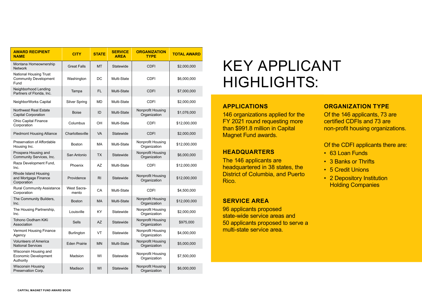# KEY APPLICANT HIGHLIGHTS:

### **APPLICATIONS**

146 organizations applied f FY 2021 round requesting than \$991.8 million in Capit Magnet Fund awards.

## **HEADQUARTERS**

The 146 applicants are headquartered in 38 states District of Columbia, and F Rico.

### **SERVICE AREA**

96 applicants proposed state-wide service areas and 50 applicants proposed to serve a multi-state service area.

### **ORGANIZATION TYPE**

| or the        | Of the 146 a         |
|---------------|----------------------|
| more          | certified CD         |
| tal           | <u>non-profit he</u> |
|               |                      |
|               | Of the CDFI          |
|               | 63 Loan F            |
|               | 3 Banks o            |
| s, the        | 5 Credit L           |
| <b>Puerto</b> | 2 Deposit            |
|               | Holdina C            |

applicants, 73 are **PFIs and 73 are** nousing organizations.

### applicants there are:

- Funds
- or Thrifts
- Unions
- tory Institution **Companies**

| <b>AWARD RECIPIENT</b><br><b>NAME</b>                                 | <b>CITY</b>                 | <b>STATE</b>   | <b>SERVICE</b><br><b>AREA</b> | <b>ORGANIZATION</b><br><b>TYPE</b>       | <b>TOTAL AWARD</b> |
|-----------------------------------------------------------------------|-----------------------------|----------------|-------------------------------|------------------------------------------|--------------------|
| Montana Homeownership<br><b>Network</b>                               | <b>Great Falls</b>          | <b>MT</b>      | <b>Statewide</b>              | <b>CDFI</b>                              | \$2,000,000        |
| <b>National Housing Trust</b><br><b>Community Development</b><br>Fund | Washington                  | <b>DC</b>      | Multi-State                   | <b>CDFI</b>                              | \$6,000,000        |
| Neighborhood Lending<br>Partners of Florida, Inc.                     | Tampa                       | <b>FL</b>      | <b>Multi-State</b>            | <b>CDFI</b>                              | \$7,000,000        |
| <b>NeighborWorks Capital</b>                                          | <b>Silver Spring</b>        | <b>MD</b>      | Multi-State                   | <b>CDFI</b>                              | \$2,000,000        |
| <b>Northwest Real Estate</b><br><b>Capital Corporation</b>            | <b>Boise</b>                | ID             | Multi-State                   | <b>Nonprofit Housing</b><br>Organization | \$1,076,000        |
| <b>Ohio Capital Finance</b><br>Corporation                            | Columbus                    | OH             | <b>Multi-State</b>            | <b>CDFI</b>                              | \$12,000,000       |
| <b>Piedmont Housing Alliance</b>                                      | Charlottesville             | <b>VA</b>      | Statewide                     | <b>CDFI</b>                              | \$2,000,000        |
| <b>Preservation of Affordable</b><br>Housing Inc.                     | <b>Boston</b>               | MA             | Multi-State                   | Nonprofit Housing<br>Organization        | \$12,000,000       |
| Prospera Housing and<br>Community Services, Inc.                      | San Antonio                 | <b>TX</b>      | Statewide                     | <b>Nonprofit Housing</b><br>Organization | \$6,000,000        |
| Raza Development Fund,<br>Inc.                                        | Phoenix                     | <b>AZ</b>      | Multi-State                   | <b>CDFI</b>                              | \$12,000,000       |
| <b>Rhode Island Housing</b><br>and Mortgage Finance<br>Corporation    | Providence                  | R <sub>l</sub> | Statewide                     | <b>Nonprofit Housing</b><br>Organization | \$12,000,000       |
| <b>Rural Community Assistance</b><br>Corporation                      | <b>West Sacra-</b><br>mento | CA             | Multi-State                   | <b>CDFI</b>                              | \$4,500,000        |
| The Community Builders,<br>Inc.                                       | <b>Boston</b>               | <b>MA</b>      | Multi-State                   | Nonprofit Housing<br>Organization        | \$12,000,000       |
| The Housing Partnership,<br>Inc.                                      | Louisville                  | KY             | Statewide                     | Nonprofit Housing<br>Organization        | \$2,000,000        |
| Tohono Oodham KiKi<br>Association                                     | <b>Sells</b>                | <b>AZ</b>      | Statewide                     | Nonprofit Housing<br>Organization        | \$975,000          |
| <b>Vermont Housing Finance</b><br>Agency                              | <b>Burlington</b>           | VT             | Statewide                     | Nonprofit Housing<br>Organization        | \$4,000,000        |
| <b>Volunteers of America</b><br><b>National Services</b>              | <b>Eden Prairie</b>         | <b>MN</b>      | Multi-State                   | Nonprofit Housing<br>Organization        | \$5,000,000        |
| Wisconsin Housing and<br><b>Economic Development</b><br>Authority     | Madsion                     | WI             | <b>Statewide</b>              | Nonprofit Housing<br>Organization        | \$7,500,000        |
| <b>Wisconsin Housing</b><br>Preservation Corp.                        | Madison                     | WI             | Statewide                     | <b>Nonprofit Housing</b><br>Organization | \$6,000,000        |